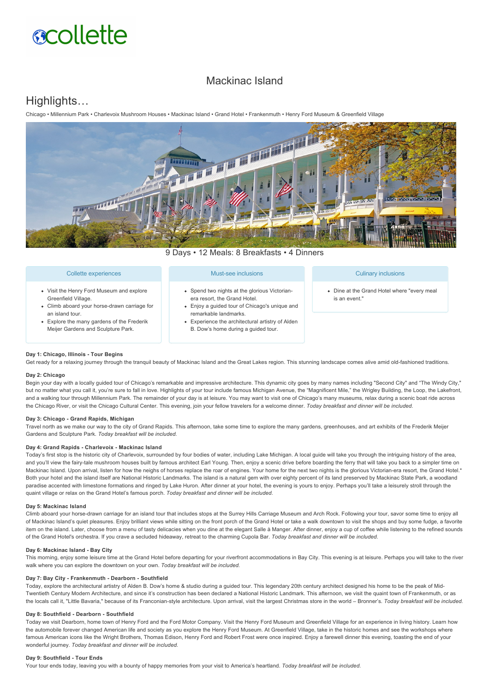# **acollette**

# Mackinac Island

# Highlights…

Chicago • Millennium Park • Charlevoix Mushroom Houses • Mackinac Island • Grand Hotel • Frankenmuth • Henry Ford Museum & Greenfield Village



9 Days • 12 Meals: 8 Breakfasts • 4 Dinners

| Collette experiences                                                                                             | Must-see inclusions                                                                                                                                                                                                                                | <b>Culinary inclusions</b>                                   |
|------------------------------------------------------------------------------------------------------------------|----------------------------------------------------------------------------------------------------------------------------------------------------------------------------------------------------------------------------------------------------|--------------------------------------------------------------|
| • Visit the Henry Ford Museum and explore<br>Greenfield Village.<br>• Climb aboard your horse-drawn carriage for | • Spend two nights at the glorious Victorian-<br>era resort, the Grand Hotel.<br>• Enjoy a quided tour of Chicago's unique and<br>remarkable landmarks.<br>• Experience the architectural artistry of Alden<br>B. Dow's home during a guided tour. | • Dine at the Grand Hotel where "every meal<br>is an event." |
| an island tour.<br>• Explore the many gardens of the Frederik<br>Meijer Gardens and Sculpture Park.              |                                                                                                                                                                                                                                                    |                                                              |

#### **Day 1: Chicago, Illinois Tour Begins**

Get ready for a relaxing journey through the tranquil beauty of Mackinac Island and the Great Lakes region. This stunning landscape comes alive amid old-fashioned traditions.

#### **Day 2: Chicago**

Begin your day with a locally guided tour of Chicago's remarkable and impressive architecture. This dynamic city goes by many names including "Second City" and "The Windy City," but no matter what you call it, you're sure to fall in love. Highlights of your tour include famous Michigan Avenue, the "Magnificent Mile," the Wrigley Building, the Loop, the Lakefront, and a walking tour through Millennium Park. The remainder of your day is at leisure. You may want to visit one of Chicago's many museums, relax during a scenic boat ride across the Chicago River, or visit the Chicago Cultural Center. This evening, join your fellow travelers for a welcome dinner. *Today breakfast and dinner will be included.*

#### Day 3: Chicago - Grand Rapids, Michigan

Travel north as we make our way to the city of Grand Rapids. This afternoon, take some time to explore the many gardens, greenhouses, and art exhibits of the Frederik Meijer Gardens and Sculpture Park. *Today breakfast will be included.*

#### Day 4: Grand Rapids - Charlevoix - Mackinac Island

Today's first stop is the historic city of Charlevoix, surrounded by four bodies of water, including Lake Michigan. A local guide will take you through the intriguing history of the area, and you'll view the fairy-tale mushroom houses built by famous architect Earl Young. Then, enjoy a scenic drive before boarding the ferry that will take you back to a simpler time on Mackinac Island. Upon arrival, listen for how the neighs of horses replace the roar of engines. Your home for the next two nights is the glorious Victorian-era resort, the Grand Hotel.\* Both your hotel and the island itself are National Historic Landmarks. The island is a natural gem with over eighty percent of its land preserved by Mackinac State Park, a woodland paradise accented with limestone formations and ringed by Lake Huron. After dinner at your hotel, the evening is yours to enjoy. Perhaps you'll take a leisurely stroll through the quaint village or relax on the Grand Hotel's famous porch. *Today breakfast and dinner will be included.*

## **Day 5: Mackinac Island**

Climb aboard your horse-drawn carriage for an island tour that includes stops at the Surrey Hills Carriage Museum and Arch Rock. Following your tour, savor some time to enjoy all of Mackinac Island's quiet pleasures. Enjoy brilliant views while sitting on the front porch of the Grand Hotel or take a walk downtown to visit the shops and buy some fudge, a favorite item on the island. Later, choose from a menu of tasty delicacies when you dine at the elegant Salle à Manger. After dinner, enjoy a cup of coffee while listening to the refined sounds of the Grand Hotel's orchestra. If you crave a secluded hideaway, retreat to the charming Cupola Bar. *Today breakfast and dinner will be included.*

#### Day 6: Mackinac Island - Bay City

This morning, enjoy some leisure time at the Grand Hotel before departing for your riverfront accommodations in Bay City. This evening is at leisure. Perhaps you will take to the river walk where you can explore the downtown on your own. *Today breakfast will be included.*

#### Day 7: Bay City - Frankenmuth - Dearborn - Southfield

Today, explore the architectural artistry of Alden B. Dow's home & studio during a guided tour. This legendary 20th century architect designed his home to be the peak of Mid-Twentieth Century Modern Architecture, and since it's construction has been declared a National Historic Landmark. This afternoon, we visit the quaint town of Frankenmuth, or as the locals call it, "Little Bavaria," because of its Franconian-style architecture. Upon arrival, visit the largest Christmas store in the world - Bronner's. Today breakfast will be included.

#### Day 8: Southfield - Dearborn - Southfield

Today we visit Dearborn, home town of Henry Ford and the Ford Motor Company. Visit the Henry Ford Museum and Greenfield Village for an experience in living history. Learn how the automobile forever changed American life and society as you explore the Henry Ford Museum. At Greenfield Village, take in the historic homes and see the workshops where famous American icons like the Wright Brothers, Thomas Edison, Henry Ford and Robert Frost were once inspired. Enjoy a farewell dinner this evening, toasting the end of your wonderful journey. *Today breakfast and dinner will be included.*

### Day 9: Southfield - Tour Ends

Your tour ends today, leaving you with a bounty of happy memories from your visit to America's heartland. *Today breakfast will be included.*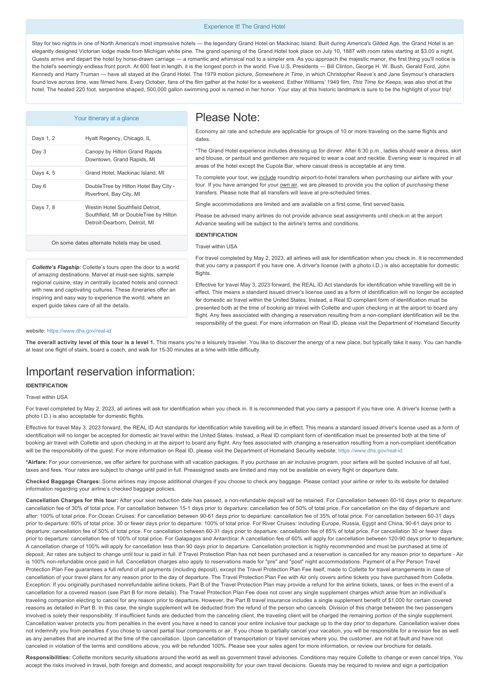#### Experience It! The Grand Hotel

Stay for two nights in one of North America's most impressive hotels — the legendary Grand Hotel on Mackinac Island. Built during America's Gilded Age, the Grand Hotel is an elegantly designed Victorian lodge made from Michigan white pine. The grand opening of the Grand Hotel took place on July 10, 1887 with room rates starting at \$3.00 a night. Guests arrive and depart the hotel by horsedrawn carriage — a romantic and whimsical nod to a simpler era. As you approach the majestic manor, the first thing you'll notice is the hotel's seemingly endless front porch. At 600 feet in length, it is the longest porch in the world. Five U.S. Presidents — Bill Clinton, George H. W. Bush, Gerald Ford, John Kennedy and Harry Truman — have all stayed at the Grand Hotel. The 1979 motion picture, *Somewhere in Time*, in which Christopher Reeve's and Jane Seymour's characters found love across time, was filmed here. Every October, fans of the film gather at the hotel for a weekend. Esther Williams' 1949 film, *This Time for Keeps*, was also shot at the hotel. The heated 220 foot, serpentine shaped, 500,000 gallon swimming pool is named in her honor. Your stay at this historic landmark is sure to be the highlight of your trip!

|           | Your itinerary at a glance                                                                                  |
|-----------|-------------------------------------------------------------------------------------------------------------|
| Days 1, 2 | Hyatt Regency, Chicago, IL                                                                                  |
| Day 3     | Canopy by Hilton Grand Rapids<br>Downtown, Grand Rapids, MI                                                 |
| Days 4, 5 | Grand Hotel, Mackinac Island, MI                                                                            |
| Day 6     | DoubleTree by Hilton Hotel Bay City -<br>Riverfront, Bay City, MI                                           |
| Days 7, 8 | Westin Hotel Southfield Detroit.<br>Southfield, MI or DoubleTree by Hilton<br>Detroit-Dearborn, Detroit, MI |
|           | On some dates alternate hotels may be used.                                                                 |

*Collette's Flagship:* Collette's tours open the door to a world of amazing destinations. Marvel at must-see sights, sample regional cuisine, stay in centrally located hotels and connect with new and captivating cultures. These itineraries offer an inspiring and easy way to experience the world, where an

Please Note:

Economy air rate and schedule are applicable for groups of 10 or more traveling on the same flights and dates.

\*The Grand Hotel experience includes dressing up for dinner. After 6:30 p.m., ladies should wear a dress, skirt and blouse, or pantsuit and gentlemen are required to wear a coat and necktie. Evening wear is required in all areas of the hotel except the Cupola Bar, where casual dress is acceptable at any time.

To complete your tour, we include roundtrip airport-to-hotel transfers when purchasing our airfare with your tour. If you have arranged for your own air, we are pleased to provide you the option of *purchasing* these transfers. Please note that all transfers will leave at pre-scheduled times.

Single accommodations are limited and are available on a first come, first served basis.

Please be advised many airlines do not provide advance seat assignments until check-in at the airport. Advance seating will be subject to the airline's terms and conditions.

#### **IDENTIFICATION**

## Travel within USA

For travel completed by May 2, 2023, all airlines will ask for identification when you check in. It is recommended that you carry a passport if you have one. A driver's license (with a photo I.D.) is also acceptable for domestic flights.

Effective for travel May 3, 2023 forward, the REAL ID Act standards for identification while travelling will be in effect. This means a standard issued driver's license used as a form of identification will no longer be accepted for domestic air travel within the United States. Instead, a Real ID compliant form of identification must be presented both at the time of booking air travel with Collette and upon checking in at the airport to board any flight. Any fees associated with changing a reservation resulting from a non-compliant identification will be the responsibility of the guest. For more information on Real ID, please visit the Department of Homeland Security

#### website: https://www.dhs.gov/real-id

expert guide takes care of all the details.

The overall activity level of this tour is a level 1. This means you're a leisurely traveler. You like to discover the energy of a new place, but typically take it easy. You can handle at least one flight of stairs, board a coach, and walk for 15-30 minutes at a time with little difficulty.

# Important reservation information:

## **IDENTIFICATION**

### Travel within USA

For travel completed by May 2, 2023, all airlines will ask for identification when you check in. It is recommended that you carry a passport if you have one. A driver's license (with a photo I.D.) is also acceptable for domestic flights.

Effective for travel May 3, 2023 forward, the REAL ID Act standards for identification while travelling will be in effect. This means a standard issued driver's license used as a form of identification will no longer be accepted for domestic air travel within the United States. Instead, a Real ID compliant form of identification must be presented both at the time of bookina air travel with Collette and upon checking in at the airport to board any flight. Any fees associated with changing a reservation resulting from a non-compliant identification will be the responsibility of the guest. For more information on Real ID, please visit the Department of Homeland Security website: https://www.dhs.gov/real-id

**\*Airfare:** For your convenience, we offer airfare for purchase with all vacation packages. If you purchase an air inclusive program, your airfare will be quoted inclusive of all fuel, taxes and fees. Your rates are subject to change until paid in full. Preassigned seats are limited and may not be available on every flight or departure date.

**Checked Baggage Charges:** Some airlines may impose additional charges if you choose to check any baggage. Please contact your airline or refer to its website for detailed information regarding your airline's checked baggage policies.

Cancellation Charges for this tour: After your seat reduction date has passed, a non-refundable deposit will be retained. For Cancellation between 60-16 days prior to departure: cancellation fee of 30% of total price. For cancellation between 15-1 days prior to departure: cancellation fee of 50% of total price. For cancellation on the day of departure and after: 100% of total price. For Ocean Cruises: For cancellation between 90-61 days prior to departure: cancellation fee of 35% of total price. For cancellation between 60-31 days prior to departure: 60% of total price. 30 or fewer days prior to departure: 100% of total price. For River Cruises: including Europe, Russia, Egypt and China, 90-61 days prior to departure: cancellation fee of 50% of total price. For cancellation between 6031 days prior to departure: cancellation fee of 85% of total price. For cancellation 30 or fewer days prior to departure: cancellation fee of 100% of total price. For Galapagos and Antarctica: A cancellation fee of 60% will apply for cancellation between 120-90 days prior to departure; A cancellation charge of 100% will apply for cancellation less than 90 days prior to departure. Cancellation protection is highly recommended and must be purchased at time of deposit. Air rates are subject to change until tour is paid in full. If Travel Protection Plan has not been purchased and a reservation is cancelled for any reason prior to departure - Air is 100% non-refundable once paid in full. Cancellation charges also apply to reservations made for "pre" and "post" night accommodations. Payment of a Per Person Trave Protection Plan Fee guarantees a full refund of all payments (including deposit), except the Travel Protection Plan Fee itself, made to Collette for travel arrangements in case of cancellation of your travel plans for any reason prior to the day of departure. The Travel Protection Plan Fee with Air only covers airline tickets you have purchased from Collette. Exception: If you originally purchased nonrefundable airline tickets, Part B of the Travel Protection Plan may provide a refund for the airline tickets, taxes, or fees in the event of a cancellation for a covered reason (see Part B for more details). The Travel Protection Plan Fee does not cover any single supplement charges which arise from an individual's traveling companion electing to cancel for any reason prior to departure. However, the Part B travel insurance includes a single supplement benefit of \$1,000 for certain covered reasons as detailed in Part B. In this case, the single supplement will be deducted from the refund of the person who cancels. Division of this charge between the two passengers involved is solely their responsibility. If insufficient funds are deducted from the canceling client, the traveling client will be charged the remaining portion of the single supplement. Cancellation waiver protects you from penalties in the event you have a need to cancel your entire inclusive tour package up to the day prior to departure. Cancellation waiver does not indemnify you from penalties if you chose to cancel partial tour components or air. If you chose to partially cancel your vacation, you will be responsible for a revision fee as well as any penalties that are incurred at the time of the cancellation. Upon cancellation of transportation or travel services where you, the customer, are not at fault and have not canceled in violation of the terms and conditions above, you will be refunded 100%. Please see your sales agent for more information, or review our brochure for details.

Responsibilities: Collette monitors security situations around the world as well as government travel advisories. Conditions may require Collette to change or even cancel trips. You accept the risks involved in travel, both foreign and domestic, and accept responsibility for your own travel decisions. Guests may be required to review and sign a participation